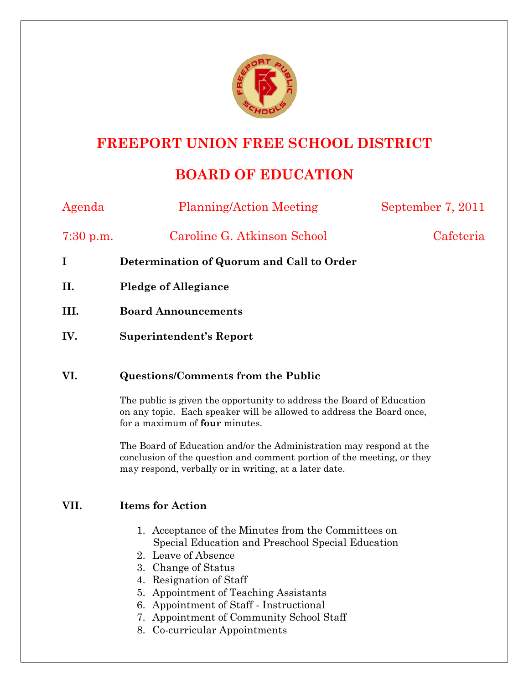

## **FREEPORT UNION FREE SCHOOL DISTRICT**

# **BOARD OF EDUCATION**

| Agenda      | <b>Planning/Action Meeting</b>            | September 7, 2011 |
|-------------|-------------------------------------------|-------------------|
| $7:30$ p.m. | Caroline G. Atkinson School               | Cafeteria         |
| $\bf{I}$    | Determination of Quorum and Call to Order |                   |
| II.         | <b>Pledge of Allegiance</b>               |                   |
| III.        | <b>Board Announcements</b>                |                   |
| IV.         | Superintendent's Report                   |                   |
| VI.         | <b>Questions/Comments from the Public</b> |                   |

The public is given the opportunity to address the Board of Education on any topic. Each speaker will be allowed to address the Board once, for a maximum of **four** minutes.

The Board of Education and/or the Administration may respond at the conclusion of the question and comment portion of the meeting, or they may respond, verbally or in writing, at a later date.

### **VII. Items for Action**

- 1. Acceptance of the Minutes from the Committees on Special Education and Preschool Special Education
- 2. Leave of Absence
- 3. Change of Status
- 4. Resignation of Staff
- 5. Appointment of Teaching Assistants
- 6. Appointment of Staff Instructional
- 7. Appointment of Community School Staff
- 8. Co-curricular Appointments